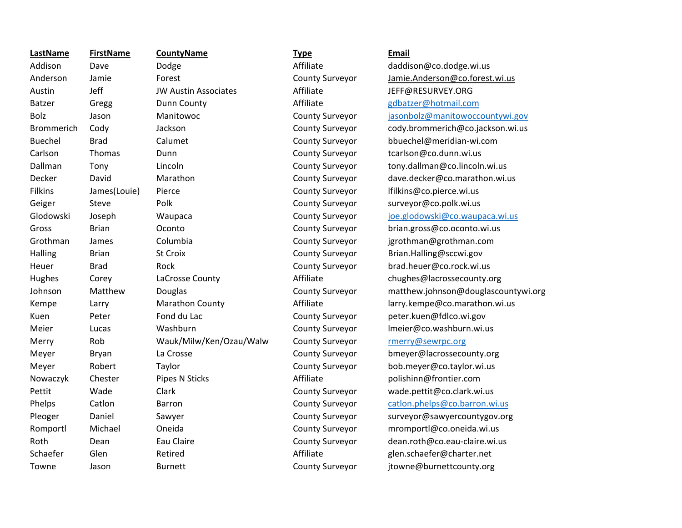**LastName**Austin Jeff JW Austin Associates Grothman JamesKuen Peter Fond du Lac Roth

**FirstName CountyName Type Email**

Addison Dave Dodge Dodge Affiliate daddison@co.dodge.wi.us Anderson Jamie Forest County Surveyor Jamie.Anderson@co.forest.wi.us Affiliate JEFF@RESURVEY.ORG Batzer Gregg Dunn County Affiliate Batzer and anti-com Bolz Jason Manitowoc County Surveyor jasonbolz@manitowoccountywi.gov Brommerich Cody Jackson County Surveyor cody.brommerich@co.jackson.wi.us Buechel Brad Calumet County Surveyor bbuechel@meridian‐wi.com Carlson Thomas Dunn County Surveyor tcarlson@co.dunn.wi.us Dallman Tony Lincoln County Surveyor tony.dallman@co.lincoln.wi.us Decker David Marathon County Surveyor dave.decker@co.marathon.wi.us Filkins James(Louie) Pierce County Surveyor lfilkins@co.pierce.wi.us Geiger Steve Polk County Surveyor surveyor@co.polk.wi.us Glodowski Joseph Waupaca County Surveyor joe.glodowski@co.waupaca.wi.us Gross Brian Oconto County Surveyor brian.gross@co.oconto.wi.us Columbia County Surveyor jgrothman@grothman.com Halling Brian St Croix County Surveyor Brian.Halling@sccwi.gov Heuer Brad Rock County Surveyor brad.heuer@co.rock.wi.us Hughes Corey LaCrosse County Affiliate chughes@lacrossecounty.org Johnson Matthew Douglas County Surveyor matthew.johnson@douglascountywi.org Kempe Larry Marathon County Affiliate larry.kempe@co.marathon.wi.us County Surveyor peter.kuen@fdlco.wi.gov Meier Lucas Washburn County Surveyor lmeier@co.washburn.wi.us Merry Rob Wauk/Milw/Ken/Ozau/Walw County Surveyor rmerry@sewrpc.org Meyer Bryan La Crosse County Surveyor bmeyer@lacrossecounty.org Meyer Robert Taylor County Surveyor bob.meyer@co.taylor.wi.us Nowaczyk Chester Pipes N Sticks Affiliate polishinn@frontier.com Pettit Wade Clark Clark County Surveyor wade.pettit@co.clark.wi.us Phelps Catlon Barron Catlon Barron County Surveyor catlon.phelps@co.barron.wi.us Pleoger Daniel Sawyer County Surveyor surveyor@sawyercountygov.org Romportl Michael Oneida County Surveyor mromportl@co.oneida.wi.us Dean Eau Claire County Surveyor dean.roth@co.eau-claire.wi.us Schaefer Glen Retired Affiliate glen.schaefer@charter.net Towne Jason Burnett County Surveyor itowne@burnettcounty.org